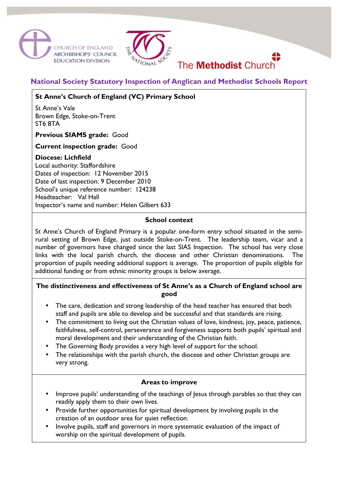



# The **Methodist** Church

# **National Society Statutory Inspection of Anglican and Methodist Schools Report**

# **St Anne's Church of England (VC) Primary School**

St Anne's Vale Brown Edge, Stoke-on-Trent ST6 8TA

#### **Previous SIAMS grade:** Good

#### **Current inspection grade:** Good

#### **Diocese: Lichfield**

Local authority: Staffordshire Dates of inspection: 12 November 2015 Date of last inspection: 9 December 2010 School's unique reference number: 124238 Headteacher: Val Hall Inspector's name and number: Helen Gilbert 633

#### **School context**

St Anne's Church of England Primary is a popular one-form entry school situated in the semirural setting of Brown Edge, just outside Stoke-on-Trent. The leadership team, vicar and a number of governors have changed since the last SIAS Inspection. The school has very close links with the local parish church, the diocese and other Christian denominations. The proportion of pupils needing additional support is average. The proportion of pupils eligible for additional funding or from ethnic minority groups is below average.

## **The distinctiveness and effectiveness of St Anne's as a Church of England school are good**

- The care, dedication and strong leadership of the head teacher has ensured that both staff and pupils are able to develop and be successful and that standards are rising.
- The commitment to living out the Christian values of love, kindness, joy, peace, patience, faithfulness, self-control, perseverance and forgiveness supports both pupils' spiritual and moral development and their understanding of the Christian faith.
- The Governing Body provides a very high level of support for the school.
- The relationships with the parish church, the diocese and other Christian groups are very strong.

#### **Areas to improve**

- Improve pupils' understanding of the teachings of Jesus through parables so that they can readily apply them to their own lives.
- Provide further opportunities for spiritual development by involving pupils in the creation of an outdoor area for quiet reflection.
- Involve pupils, staff and governors in more systematic evaluation of the impact of worship on the spiritual development of pupils.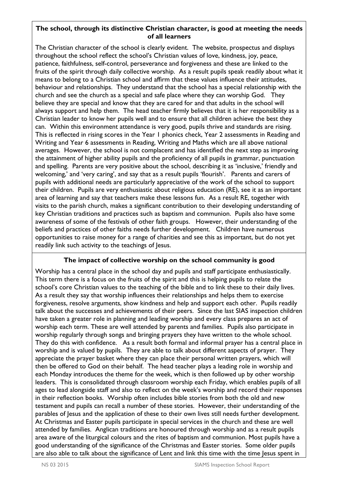#### **The school, through its distinctive Christian character, is good at meeting the needs of all learners**

The Christian character of the school is clearly evident. The website, prospectus and displays throughout the school reflect the school's Christian values of love, kindness, joy, peace, patience, faithfulness, self-control, perseverance and forgiveness and these are linked to the fruits of the spirit through daily collective worship. As a result pupils speak readily about what it means to belong to a Christian school and affirm that these values influence their attitudes, behaviour and relationships. They understand that the school has a special relationship with the church and see the church as a special and safe place where they can worship God. They believe they are special and know that they are cared for and that adults in the school will always support and help them. The head teacher firmly believes that it is her responsibility as a Christian leader to know her pupils well and to ensure that all children achieve the best they can. Within this environment attendance is very good, pupils thrive and standards are rising. This is reflected in rising scores in the Year 1 phonics check, Year 2 assessments in Reading and Writing and Year 6 assessments in Reading, Writing and Maths which are all above national averages. However, the school is not complacent and has identified the next step as improving the attainment of higher ability pupils and the proficiency of all pupils in grammar, punctuation and spelling. Parents are very positive about the school, describing it as 'inclusive,' friendly and welcoming,' and 'very caring', and say that as a result pupils 'flourish'. Parents and carers of pupils with additional needs are particularly appreciative of the work of the school to support their children. Pupils are very enthusiastic about religious education (RE), see it as an important area of learning and say that teachers make these lessons fun. As a result RE, together with visits to the parish church, makes a significant contribution to their developing understanding of key Christian traditions and practices such as baptism and communion. Pupils also have some awareness of some of the festivals of other faith groups. However, their understanding of the beliefs and practices of other faiths needs further development. Children have numerous opportunities to raise money for a range of charities and see this as important, but do not yet readily link such activity to the teachings of Jesus.

## **The impact of collective worship on the school community is good**

Worship has a central place in the school day and pupils and staff participate enthusiastically. This term there is a focus on the fruits of the spirit and this is helping pupils to relate the school's core Christian values to the teaching of the bible and to link these to their daily lives. As a result they say that worship influences their relationships and helps them to exercise forgiveness, resolve arguments, show kindness and help and support each other. Pupils readily talk about the successes and achievements of their peers. Since the last SIAS inspection children have taken a greater role in planning and leading worship and every class prepares an act of worship each term. These are well attended by parents and families. Pupils also participate in worship regularly through songs and bringing prayers they have written to the whole school. They do this with confidence. As a result both formal and informal prayer has a central place in worship and is valued by pupils. They are able to talk about different aspects of prayer. They appreciate the prayer basket where they can place their personal written prayers, which will then be offered to God on their behalf. The head teacher plays a leading role in worship and each Monday introduces the theme for the week, which is then followed up by other worship leaders. This is consolidated through classroom worship each Friday, which enables pupils of all ages to lead alongside staff and also to reflect on the week's worship and record their responses in their reflection books. Worship often includes bible stories from both the old and new testament and pupils can recall a number of these stories. However, their understanding of the parables of Jesus and the application of these to their own lives still needs further development. At Christmas and Easter pupils participate in special services in the church and these are well attended by families. Anglican traditions are honoured through worship and as a result pupils area aware of the liturgical colours and the rites of baptism and communion. Most pupils have a good understanding of the significance of the Christmas and Easter stories. Some older pupils are also able to talk about the significance of Lent and link this time with the time Jesus spent in